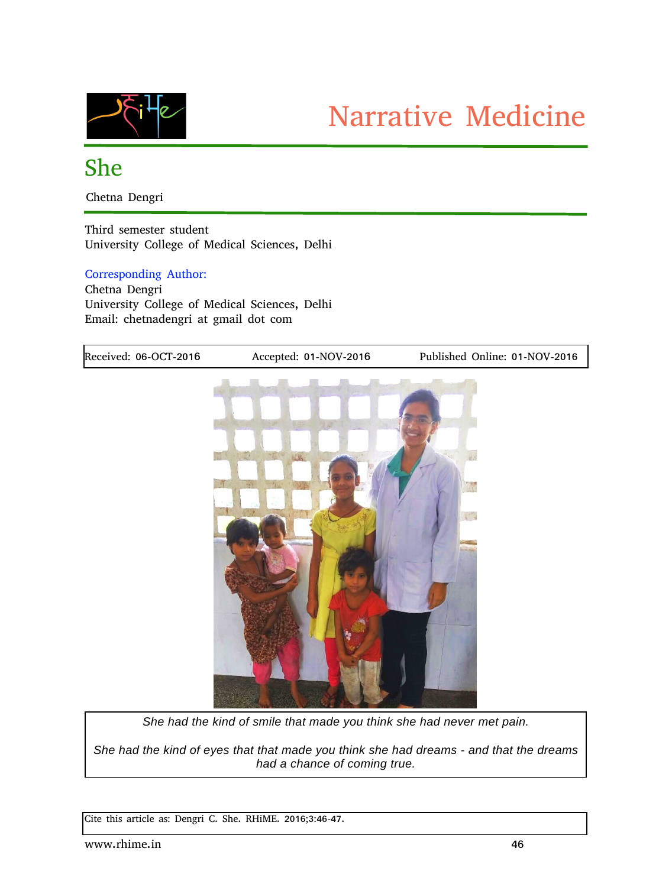

## She

Chetna Dengri

Third semester student University College of Medical Sciences, Delhi

## Corresponding Author:

Chetna Dengri University College of Medical Sciences, Delhi Email: chetnadengri at gmail dot com



*She had the kind of eyes that that made you think she had dreams and that the dreams had a chance of coming true.*

Cite this article as: Dengri C. She. RHiME. 2016;3:46-47.